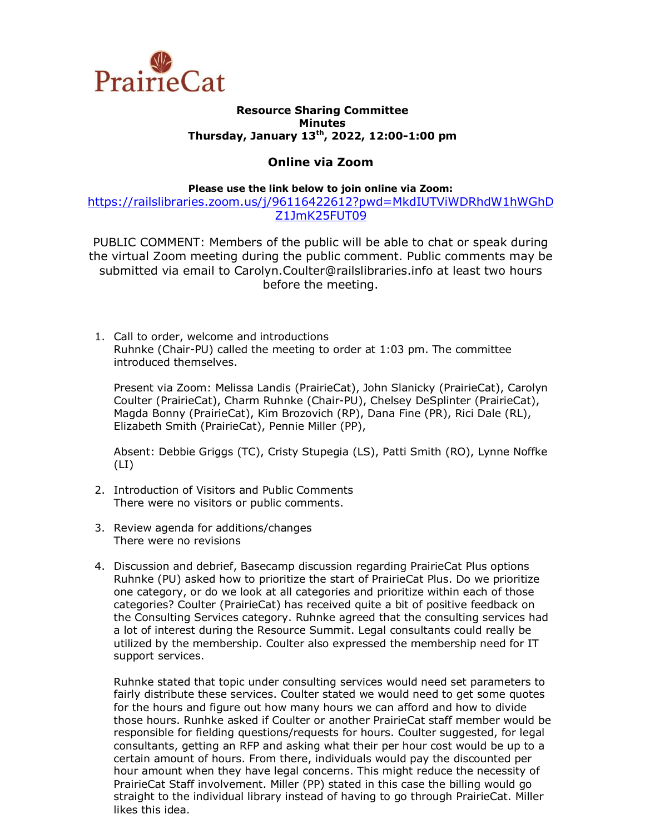

## **Resource Sharing Committee Minutes Thursday, January 13th, 2022, 12:00-1:00 pm**

## **Online via Zoom**

**Please use the link below to join online via Zoom:**

[https://railslibraries.zoom.us/j/96116422612?pwd=MkdIUTViWDRhdW1hWGhD](https://railslibraries.zoom.us/j/96116422612?pwd=MkdIUTViWDRhdW1hWGhDZ1JmK25FUT09) [Z1JmK25FUT09](https://railslibraries.zoom.us/j/96116422612?pwd=MkdIUTViWDRhdW1hWGhDZ1JmK25FUT09)

PUBLIC COMMENT: Members of the public will be able to chat or speak during the virtual Zoom meeting during the public comment. Public comments may be submitted via email to Carolyn.Coulter@railslibraries.info at least two hours before the meeting.

1. Call to order, welcome and introductions Ruhnke (Chair-PU) called the meeting to order at 1:03 pm. The committee introduced themselves.

Present via Zoom: Melissa Landis (PrairieCat), John Slanicky (PrairieCat), Carolyn Coulter (PrairieCat), Charm Ruhnke (Chair-PU), Chelsey DeSplinter (PrairieCat), Magda Bonny (PrairieCat), Kim Brozovich (RP), Dana Fine (PR), Rici Dale (RL), Elizabeth Smith (PrairieCat), Pennie Miller (PP),

Absent: Debbie Griggs (TC), Cristy Stupegia (LS), Patti Smith (RO), Lynne Noffke  $(LI)$ 

- 2. Introduction of Visitors and Public Comments There were no visitors or public comments.
- 3. Review agenda for additions/changes There were no revisions
- 4. Discussion and debrief, Basecamp discussion regarding PrairieCat Plus options Ruhnke (PU) asked how to prioritize the start of PrairieCat Plus. Do we prioritize one category, or do we look at all categories and prioritize within each of those categories? Coulter (PrairieCat) has received quite a bit of positive feedback on the Consulting Services category. Ruhnke agreed that the consulting services had a lot of interest during the Resource Summit. Legal consultants could really be utilized by the membership. Coulter also expressed the membership need for IT support services.

Ruhnke stated that topic under consulting services would need set parameters to fairly distribute these services. Coulter stated we would need to get some quotes for the hours and figure out how many hours we can afford and how to divide those hours. Runhke asked if Coulter or another PrairieCat staff member would be responsible for fielding questions/requests for hours. Coulter suggested, for legal consultants, getting an RFP and asking what their per hour cost would be up to a certain amount of hours. From there, individuals would pay the discounted per hour amount when they have legal concerns. This might reduce the necessity of PrairieCat Staff involvement. Miller (PP) stated in this case the billing would go straight to the individual library instead of having to go through PrairieCat. Miller likes this idea.